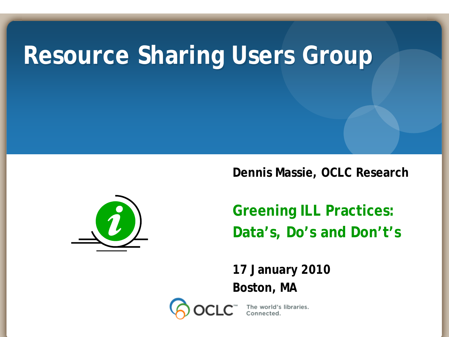# **Resource Sharing Users Group**

**Dennis Massie, OCLC Research**



**Greening ILL Practices: Data's, Do's and Don't's**

**17 January 2010 Boston, MA**



The world's libraries.<br>Connected.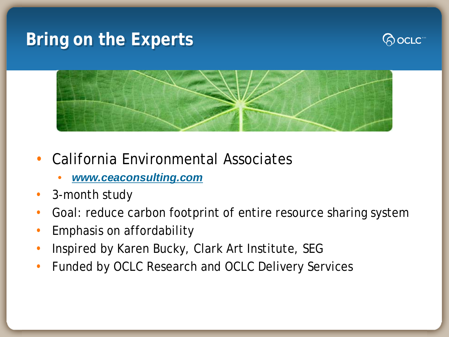## **Bring on the Experts**





## • California Environmental Associates

- *[www.ceaconsulting.com](http://www.ceaconsulting.com/)*
- 3-month study
- Goal: reduce carbon footprint of entire resource sharing system
- Emphasis on affordability
- Inspired by Karen Bucky, Clark Art Institute, SEG
- Funded by OCLC Research and OCLC Delivery Services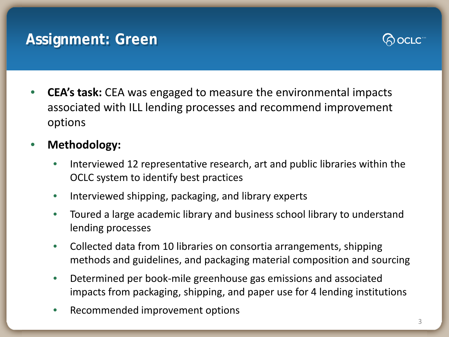## **Assignment: Green**



- **CEA's task:** CEA was engaged to measure the environmental impacts associated with ILL lending processes and recommend improvement options
- **Methodology:**
	- Interviewed 12 representative research, art and public libraries within the OCLC system to identify best practices
	- Interviewed shipping, packaging, and library experts
	- Toured a large academic library and business school library to understand lending processes
	- Collected data from 10 libraries on consortia arrangements, shipping methods and guidelines, and packaging material composition and sourcing
	- Determined per book-mile greenhouse gas emissions and associated impacts from packaging, shipping, and paper use for 4 lending institutions
	- Recommended improvement options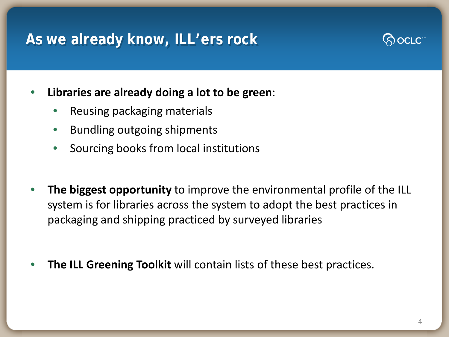## **As we already know, ILL'ers rock**



- **Libraries are already doing a lot to be green**:
	- Reusing packaging materials
	- Bundling outgoing shipments
	- Sourcing books from local institutions
- **The biggest opportunity** to improve the environmental profile of the ILL system is for libraries across the system to adopt the best practices in packaging and shipping practiced by surveyed libraries
- **The ILL Greening Toolkit** will contain lists of these best practices.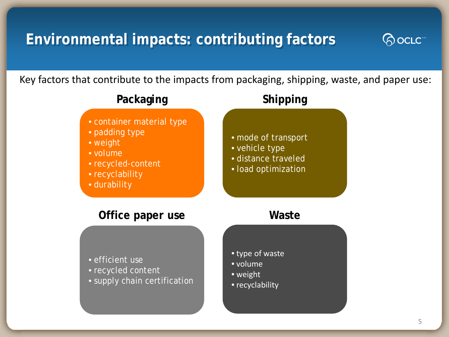## **Environmental impacts: contributing factors**

るocrc<sub>™</sub>

Key factors that contribute to the impacts from packaging, shipping, waste, and paper use:

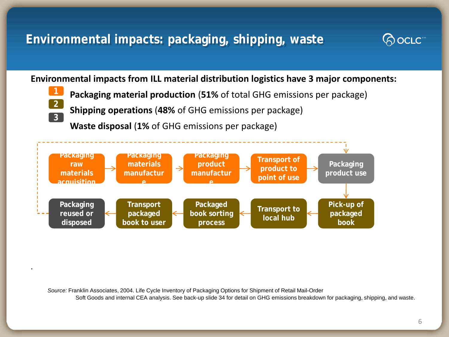## **Environmental impacts: packaging, shipping, waste**



**Environmental impacts from ILL material distribution logistics have 3 major components:**

- **Packaging material production** (**51%** of total GHG emissions per package)
- **Shipping operations** (**48%** of GHG emissions per package)

**Waste disposal** (**1%** of GHG emissions per package)

.

**1 2**

**3**



*Source:* Franklin Associates, 2004. Life Cycle Inventory of Packaging Options for Shipment of Retail Mail-Order Soft Goods and internal CEA analysis. See back-up slide 34 for detail on GHG emissions breakdown for packaging, shipping, and waste.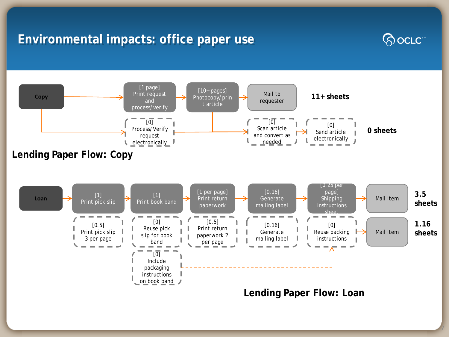## **Environmental impacts: office paper use**



7

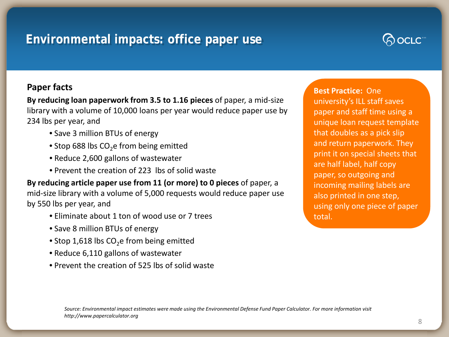## **Environmental impacts: office paper use**

## SOCLC<sup>T</sup>

#### **Paper facts**

**By reducing loan paperwork from 3.5 to 1.16 pieces** of paper, a mid-size library with a volume of 10,000 loans per year would reduce paper use by 234 lbs per year, and

- Save 3 million BTUs of energy
- Stop 688 lbs CO<sub>2</sub>e from being emitted
- Reduce 2,600 gallons of wastewater
- Prevent the creation of 223 lbs of solid waste

**By reducing article paper use from 11 (or more) to 0 pieces** of paper, a mid-size library with a volume of 5,000 requests would reduce paper use by 550 lbs per year, and

- Eliminate about 1 ton of wood use or 7 trees
- Save 8 million BTUs of energy
- Stop 1,618 lbs  $CO<sub>2</sub>e$  from being emitted
- Reduce 6,110 gallons of wastewater
- Prevent the creation of 525 lbs of solid waste

**Best Practice:** One university's ILL staff saves paper and staff time using a unique loan request template that doubles as a pick slip and return paperwork. They print it on special sheets that are half label, half copy paper, so outgoing and incoming mailing labels are also printed in one step, using only one piece of paper total.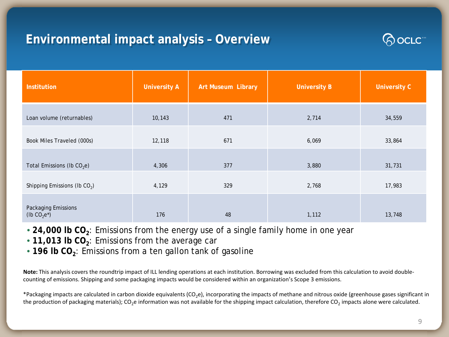## **Environmental impact analysis – Overview**



| <b>Institution</b>                   | <b>University A</b> | Art Museum Library | <b>University B</b> | <b>University C</b> |
|--------------------------------------|---------------------|--------------------|---------------------|---------------------|
| Loan volume (returnables)            | 10,143              | 471                | 2,714               | 34,559              |
| Book Miles Traveled (000s)           | 12,118              | 671                | 6,069               | 33,864              |
| Total Emissions (Ib $CO2e$ )         | 4,306               | 377                | 3,880               | 31,731              |
| Shipping Emissions (Ib $CO2$ )       | 4,129               | 329                | 2,768               | 17,983              |
| Packaging Emissions<br>(lb $CO2e*$ ) | 176                 | 48                 | 1,112               | 13,748              |

- 24,000 lb CO<sub>2</sub>: Emissions from the energy use of a single family home in one year
- 11,013 lb CO<sub>2</sub>: Emissions from the average car
- **196 lb CO**<sub>2</sub>: Emissions from a ten gallon tank of gasoline

**Note:** This analysis covers the roundtrip impact of ILL lending operations at each institution. Borrowing was excluded from this calculation to avoid doublecounting of emissions. Shipping and some packaging impacts would be considered within an organization's Scope 3 emissions.

\*Packaging impacts are calculated in carbon dioxide equivalents (CO2e), incorporating the impacts of methane and nitrous oxide (greenhouse gases significant in the production of packaging materials);  $CO<sub>2</sub>e$  information was not available for the shipping impact calculation, therefore  $CO<sub>2</sub>$  impacts alone were calculated.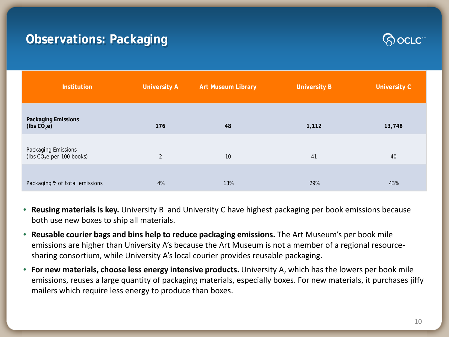## **Observations: Packaging**



| <b>Institution</b>                                | <b>University A</b> | <b>Art Museum Library</b> | <b>University B</b> | <b>University C</b> |
|---------------------------------------------------|---------------------|---------------------------|---------------------|---------------------|
| <b>Packaging Emissions</b><br>(lbs $CO2e$ )       | 176                 | 48                        | 1,112               | 13,748              |
| Packaging Emissions<br>(lbs $CO2e$ per 100 books) | 2                   | 10                        | 41                  | 40                  |
| Packaging % of total emissions                    | 4%                  | 13%                       | 29%                 | 43%                 |

- **Reusing materials is key.** University B and University C have highest packaging per book emissions because both use new boxes to ship all materials.
- **Reusable courier bags and bins help to reduce packaging emissions.** The Art Museum's per book mile emissions are higher than University A's because the Art Museum is not a member of a regional resourcesharing consortium, while University A's local courier provides reusable packaging.
- **For new materials, choose less energy intensive products.** University A, which has the lowers per book mile emissions, reuses a large quantity of packaging materials, especially boxes. For new materials, it purchases jiffy mailers which require less energy to produce than boxes.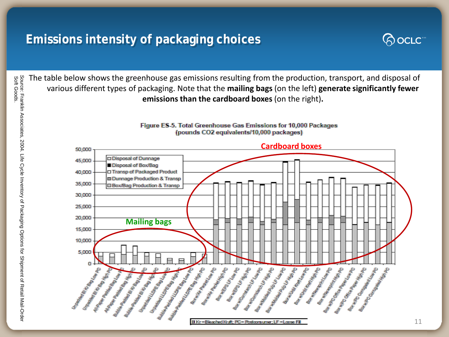## **Emissions intensity of packaging choices**

*Source: Franklin Associates, 2004.* Life Cycle Inventory of Packaging Options for Shipment of Retail Mail-Order<br>Soft Goods. Franklin Associates, 2004. Life Cycle Inventory of Packaging Options for Shipment of Retail Mail-Order

Soft Goods.



 $\bigotimes \mathsf{OCLC}^m$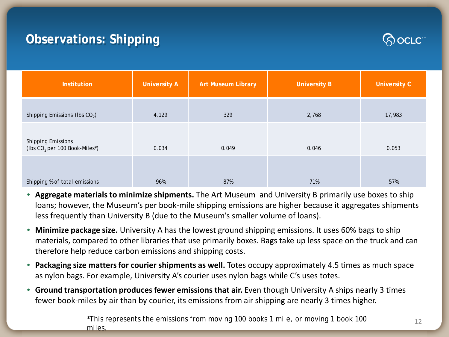## **Observations: Shipping**



| Institution                                                  | <b>University A</b> | <b>Art Museum Library</b> | <b>University B</b> | <b>University C</b> |
|--------------------------------------------------------------|---------------------|---------------------------|---------------------|---------------------|
| Shipping Emissions (Ibs $CO2$ )                              | 4,129               | 329                       | 2,768               | 17,983              |
| <b>Shipping Emissions</b><br>(lbs $CO2$ per 100 Book-Miles*) | 0.034               | 0.049                     | 0.046               | 0.053               |
| Shipping % of total emissions                                | 96%                 | 87%                       | 71%                 | 57%                 |

- **Aggregate materials to minimize shipments.** The Art Museum and University B primarily use boxes to ship loans; however, the Museum's per book-mile shipping emissions are higher because it aggregates shipments less frequently than University B (due to the Museum's smaller volume of loans).
- **Minimize package size.** University A has the lowest ground shipping emissions. It uses 60% bags to ship materials, compared to other libraries that use primarily boxes. Bags take up less space on the truck and can therefore help reduce carbon emissions and shipping costs.
- **Packaging size matters for courier shipments as well.** Totes occupy approximately 4.5 times as much space as nylon bags. For example, University A's courier uses nylon bags while C's uses totes.
- **Ground transportation produces fewer emissions that air.** Even though University A ships nearly 3 times fewer book-miles by air than by courier, its emissions from air shipping are nearly 3 times higher.

\*This represents the emissions from moving 100 books 1 mile, or moving 1 book 100 miles.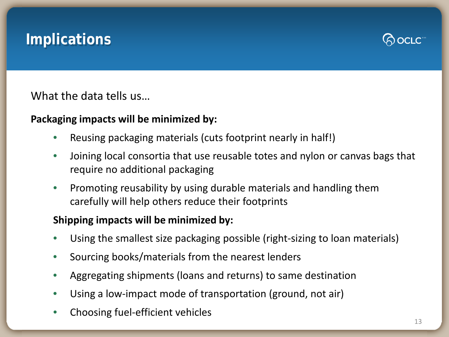## **Implications**



What the data tells us…

#### **Packaging impacts will be minimized by:**

- Reusing packaging materials (cuts footprint nearly in half!)
- Joining local consortia that use reusable totes and nylon or canvas bags that require no additional packaging
- Promoting reusability by using durable materials and handling them carefully will help others reduce their footprints

#### **Shipping impacts will be minimized by:**

- Using the smallest size packaging possible (right-sizing to loan materials)
- Sourcing books/materials from the nearest lenders
- Aggregating shipments (loans and returns) to same destination
- Using a low-impact mode of transportation (ground, not air)
- Choosing fuel-efficient vehicles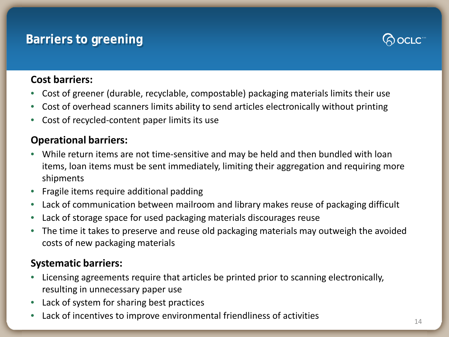## **Barriers to greening**



#### **Cost barriers:**

- Cost of greener (durable, recyclable, compostable) packaging materials limits their use
- Cost of overhead scanners limits ability to send articles electronically without printing
- Cost of recycled-content paper limits its use

#### **Operational barriers:**

- While return items are not time-sensitive and may be held and then bundled with loan items, loan items must be sent immediately, limiting their aggregation and requiring more shipments
- Fragile items require additional padding
- Lack of communication between mailroom and library makes reuse of packaging difficult
- Lack of storage space for used packaging materials discourages reuse
- The time it takes to preserve and reuse old packaging materials may outweigh the avoided costs of new packaging materials

#### **Systematic barriers:**

- Licensing agreements require that articles be printed prior to scanning electronically, resulting in unnecessary paper use
- Lack of system for sharing best practices
- Lack of incentives to improve environmental friendliness of activities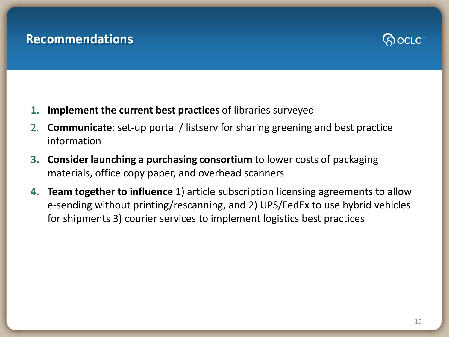## **Recommendations**



- **1. Implement the current best practices** of libraries surveyed
- 2. C**ommunicate**: set-up portal / listserv for sharing greening and best practice information
- **3. Consider launching a purchasing consortium** to lower costs of packaging materials, office copy paper, and overhead scanners
- **4. Team together to influence** 1) article subscription licensing agreements to allow e-sending without printing/rescanning, and 2) UPS/FedEx to use hybrid vehicles for shipments 3) courier services to implement logistics best practices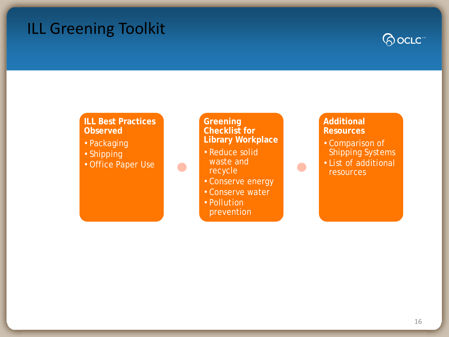## ILL Greening Toolkit



#### **ILL Best Practices Observed**

- •Packaging
- •Shipping
- •Office Paper Use

#### **Greening Checklist for Library Workplace**

- Reduce solid waste and recycle
- •Conserve energy
- •Conserve water
- Pollution
- prevention

#### **Additional Resources**

- •Comparison of Shipping Systems
- •List of additional resources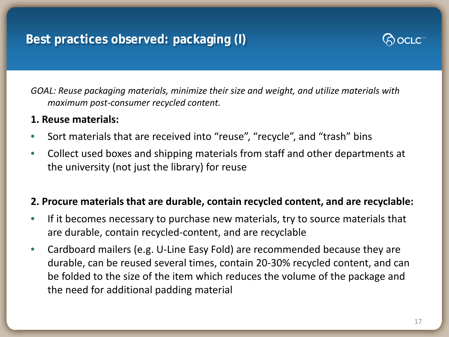## **Best practices observed: packaging (I)**



*GOAL: Reuse packaging materials, minimize their size and weight, and utilize materials with maximum post-consumer recycled content.*

#### **1. Reuse materials:**

- Sort materials that are received into "reuse", "recycle", and "trash" bins
- Collect used boxes and shipping materials from staff and other departments at the university (not just the library) for reuse

#### **2. Procure materials that are durable, contain recycled content, and are recyclable:**

- If it becomes necessary to purchase new materials, try to source materials that are durable, contain recycled-content, and are recyclable
- Cardboard mailers (e.g. U-Line Easy Fold) are recommended because they are durable, can be reused several times, contain 20-30% recycled content, and can be folded to the size of the item which reduces the volume of the package and the need for additional padding material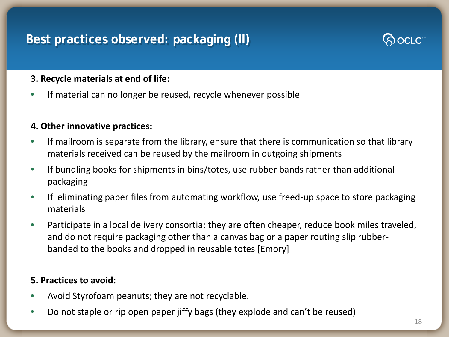## **Best practices observed: packaging (II)**

#### **3. Recycle materials at end of life:**

If material can no longer be reused, recycle whenever possible

#### **4. Other innovative practices:**

- If mailroom is separate from the library, ensure that there is communication so that library materials received can be reused by the mailroom in outgoing shipments
- If bundling books for shipments in bins/totes, use rubber bands rather than additional packaging
- If eliminating paper files from automating workflow, use freed-up space to store packaging materials
- Participate in a local delivery consortia; they are often cheaper, reduce book miles traveled, and do not require packaging other than a canvas bag or a paper routing slip rubberbanded to the books and dropped in reusable totes [Emory]

#### **5. Practices to avoid:**

- Avoid Styrofoam peanuts; they are not recyclable.
- Do not staple or rip open paper jiffy bags (they explode and can't be reused)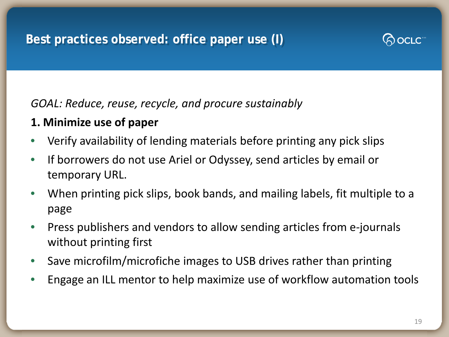## **Best practices observed: office paper use (I)**



*GOAL: Reduce, reuse, recycle, and procure sustainably*

- **1. Minimize use of paper**
- Verify availability of lending materials before printing any pick slips
- If borrowers do not use Ariel or Odyssey, send articles by email or temporary URL.
- When printing pick slips, book bands, and mailing labels, fit multiple to a page
- Press publishers and vendors to allow sending articles from e-journals without printing first
- Save microfilm/microfiche images to USB drives rather than printing
- Engage an ILL mentor to help maximize use of workflow automation tools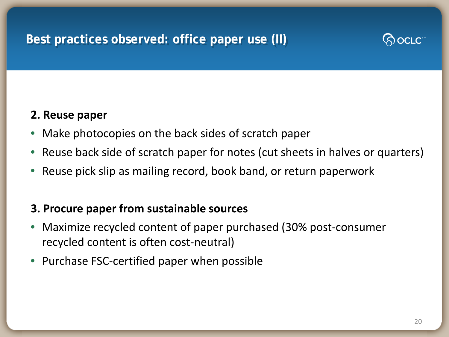## **Best practices observed: office paper use (II)**



#### **2. Reuse paper**

- Make photocopies on the back sides of scratch paper
- Reuse back side of scratch paper for notes (cut sheets in halves or quarters)
- Reuse pick slip as mailing record, book band, or return paperwork

### **3. Procure paper from sustainable sources**

- Maximize recycled content of paper purchased (30% post-consumer recycled content is often cost-neutral)
- Purchase FSC-certified paper when possible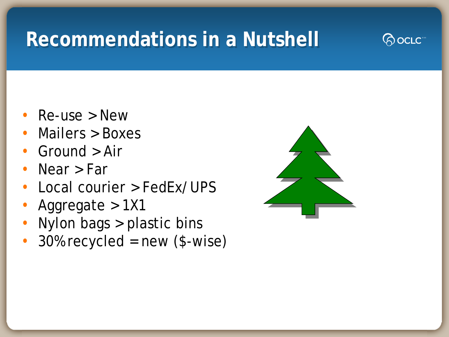# **Recommendations in a Nutshell**



- $Re$ -use > New
- Mailers > Boxes
- Ground > Air
- Near > Far
- Local courier > FedEx/UPS
- Aggregate > 1X1
- Nylon bags > plastic bins
- $\cdot$  30% recycled = new (\$-wise)